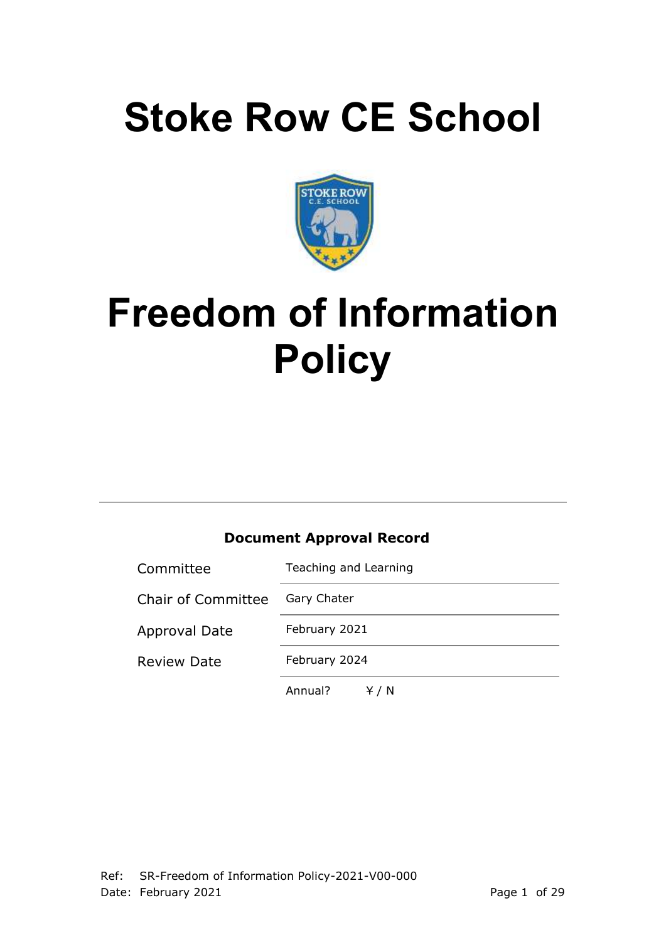# **Stoke Row CE School**



# **Freedom of Information Policy**

# **Document Approval Record**

| Committee                 | Teaching and Learning |  |
|---------------------------|-----------------------|--|
| <b>Chair of Committee</b> | Gary Chater           |  |
| <b>Approval Date</b>      | February 2021         |  |
| <b>Review Date</b>        | February 2024         |  |
|                           | Annual?<br>Y / N      |  |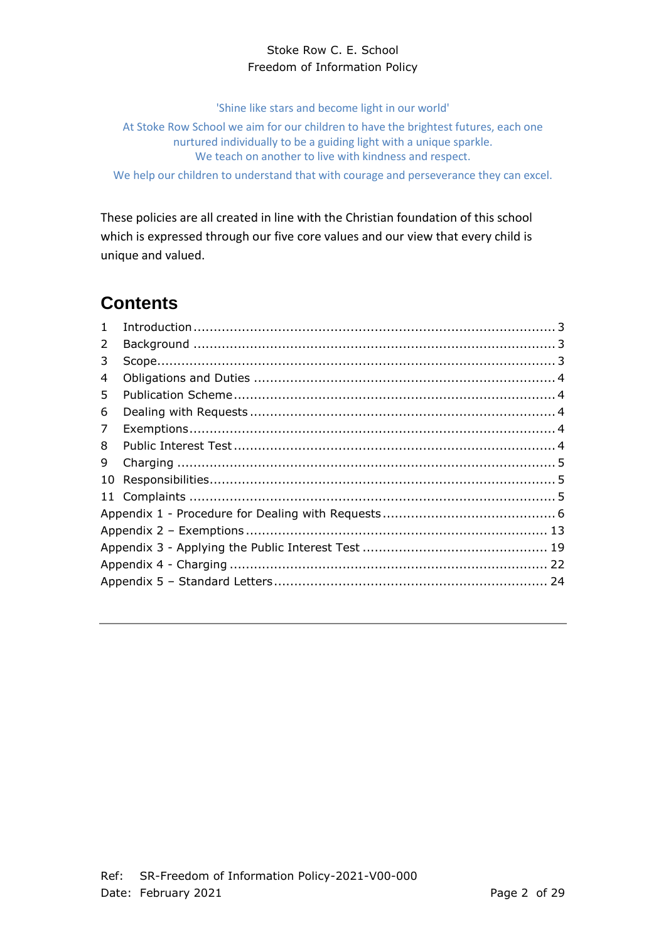'Shine like stars and become light in our world'

At Stoke Row School we aim for our children to have the brightest futures, each one nurtured individually to be a guiding light with a unique sparkle. We teach on another to live with kindness and respect.

We help our children to understand that with courage and perseverance they can excel.

These policies are all created in line with the Christian foundation of this school which is expressed through our five core values and our view that every child is unique and valued.

# **Contents**

<span id="page-1-0"></span>

| $\mathbf{1}$ |  |
|--------------|--|
| 2            |  |
| 3            |  |
| 4            |  |
| 5            |  |
| 6            |  |
| 7            |  |
| 8            |  |
| 9            |  |
| 10           |  |
|              |  |
|              |  |
|              |  |
|              |  |
|              |  |
|              |  |
|              |  |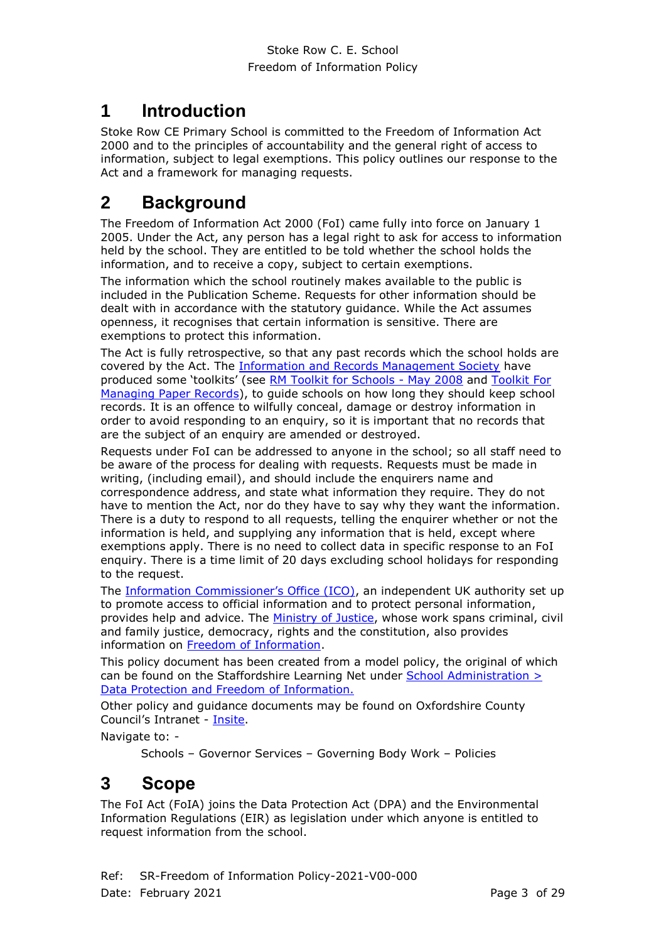# **1 Introduction**

Stoke Row CE Primary School is committed to the Freedom of Information Act 2000 and to the principles of accountability and the general right of access to information, subject to legal exemptions. This policy outlines our response to the Act and a framework for managing requests.

# <span id="page-2-0"></span>**2 Background**

The Freedom of Information Act 2000 (FoI) came fully into force on January 1 2005. Under the Act, any person has a legal right to ask for access to information held by the school. They are entitled to be told whether the school holds the information, and to receive a copy, subject to certain exemptions.

The information which the school routinely makes available to the public is included in the Publication Scheme. Requests for other information should be dealt with in accordance with the statutory guidance. While the Act assumes openness, it recognises that certain information is sensitive. There are exemptions to protect this information.

The Act is fully retrospective, so that any past records which the school holds are covered by the Act. The [Information and Records Management Society](http://www.irms.org.uk/) have produced some 'toolkits' (see [RM Toolkit for Schools -](http://www.irms.org.uk/resources/848) May 2008 and [Toolkit For](http://www.irms.org.uk/resources/873)  [Managing Paper Records\)](http://www.irms.org.uk/resources/873), to guide schools on how long they should keep school records. It is an offence to wilfully conceal, damage or destroy information in order to avoid responding to an enquiry, so it is important that no records that are the subject of an enquiry are amended or destroyed.

Requests under FoI can be addressed to anyone in the school; so all staff need to be aware of the process for dealing with requests. Requests must be made in writing, (including email), and should include the enquirers name and correspondence address, and state what information they require. They do not have to mention the Act, nor do they have to say why they want the information. There is a duty to respond to all requests, telling the enquirer whether or not the information is held, and supplying any information that is held, except where exemptions apply. There is no need to collect data in specific response to an FoI enquiry. There is a time limit of 20 days excluding school holidays for responding to the request.

The [Information Commissioner's Office \(ICO\)](http://www.ico.gov.uk/), an independent UK authority set up to promote access to official information and to protect personal information, provides help and advice. The [Ministry of Justice,](http://www.justice.gov.uk/) whose work spans criminal, civil and family justice, democracy, rights and the constitution, also provides information on [Freedom of Information.](http://www.justice.gov.uk/information-access-rights/foi-guidance-for-practitioners)

This policy document has been created from a model policy, the original of which can be found on the Staffordshire Learning Net under [School Administration >](http://education.staffordshire.gov.uk/SchoolAdministration/DataProtectionFreedomInformation/FreedomInformation/ModelPolicy/)  [Data Protection and Freedom of Information.](http://education.staffordshire.gov.uk/SchoolAdministration/DataProtectionFreedomInformation/FreedomInformation/ModelPolicy/) 

Other policy and guidance documents may be found on Oxfordshire County Council's Intranet - [Insite.](http://intranet.oxfordshire.gov.uk/wps/wcm/connect/occ/Insite/Home/)

Navigate to: -

Schools – Governor Services – Governing Body Work – Policies

# <span id="page-2-1"></span>**3 Scope**

The FoI Act (FoIA) joins the Data Protection Act (DPA) and the Environmental Information Regulations (EIR) as legislation under which anyone is entitled to request information from the school.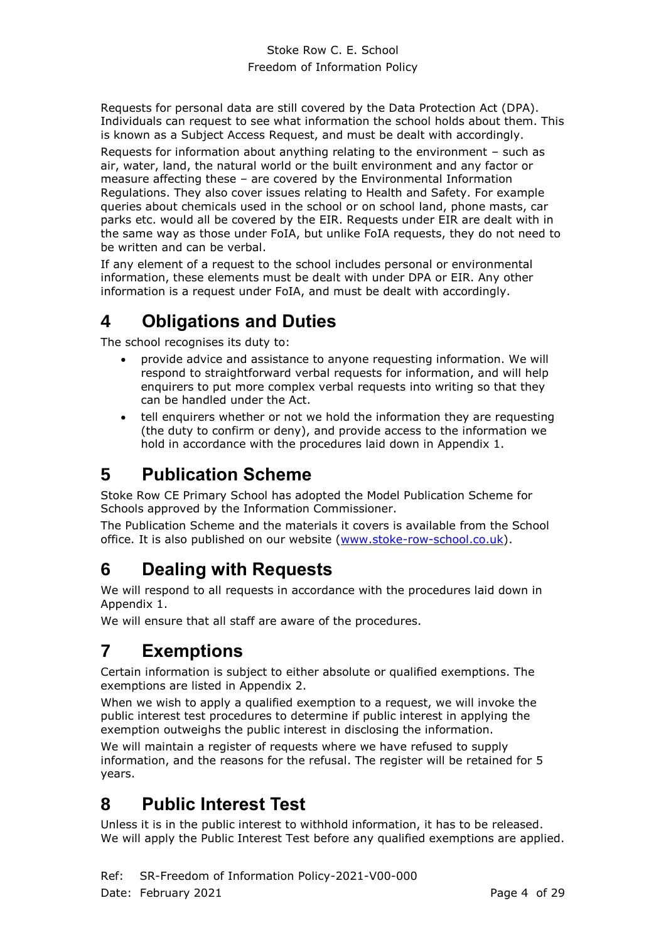Requests for personal data are still covered by the Data Protection Act (DPA). Individuals can request to see what information the school holds about them. This is known as a Subject Access Request, and must be dealt with accordingly. Requests for information about anything relating to the environment – such as air, water, land, the natural world or the built environment and any factor or measure affecting these – are covered by the Environmental Information Regulations. They also cover issues relating to Health and Safety. For example queries about chemicals used in the school or on school land, phone masts, car parks etc. would all be covered by the EIR. Requests under EIR are dealt with in the same way as those under FoIA, but unlike FoIA requests, they do not need to be written and can be verbal.

If any element of a request to the school includes personal or environmental information, these elements must be dealt with under DPA or EIR. Any other information is a request under FoIA, and must be dealt with accordingly.

# <span id="page-3-0"></span>**4 Obligations and Duties**

The school recognises its duty to:

- provide advice and assistance to anyone requesting information. We will respond to straightforward verbal requests for information, and will help enquirers to put more complex verbal requests into writing so that they can be handled under the Act.
- tell enquirers whether or not we hold the information they are requesting (the duty to confirm or deny), and provide access to the information we hold in accordance with the procedures laid down in Appendix 1.

# <span id="page-3-1"></span>**5 Publication Scheme**

Stoke Row CE Primary School has adopted the Model Publication Scheme for Schools approved by the Information Commissioner.

The Publication Scheme and the materials it covers is available from the School office. It is also published on our website [\(www.stoke-row-school.co.uk\)](http://www.stoke-row-school.co.uk/).

# <span id="page-3-2"></span>**6 Dealing with Requests**

We will respond to all requests in accordance with the procedures laid down in Appendix 1.

We will ensure that all staff are aware of the procedures.

# <span id="page-3-3"></span>**7 Exemptions**

Certain information is subject to either absolute or qualified exemptions. The exemptions are listed in Appendix 2.

When we wish to apply a qualified exemption to a request, we will invoke the public interest test procedures to determine if public interest in applying the exemption outweighs the public interest in disclosing the information.

We will maintain a register of requests where we have refused to supply information, and the reasons for the refusal. The register will be retained for 5 years.

# <span id="page-3-4"></span>**8 Public Interest Test**

Unless it is in the public interest to withhold information, it has to be released. We will apply the Public Interest Test before any qualified exemptions are applied.

Ref: SR-Freedom of Information Policy-2021-V00-000 Date: February 2021 **Page 4 of 29**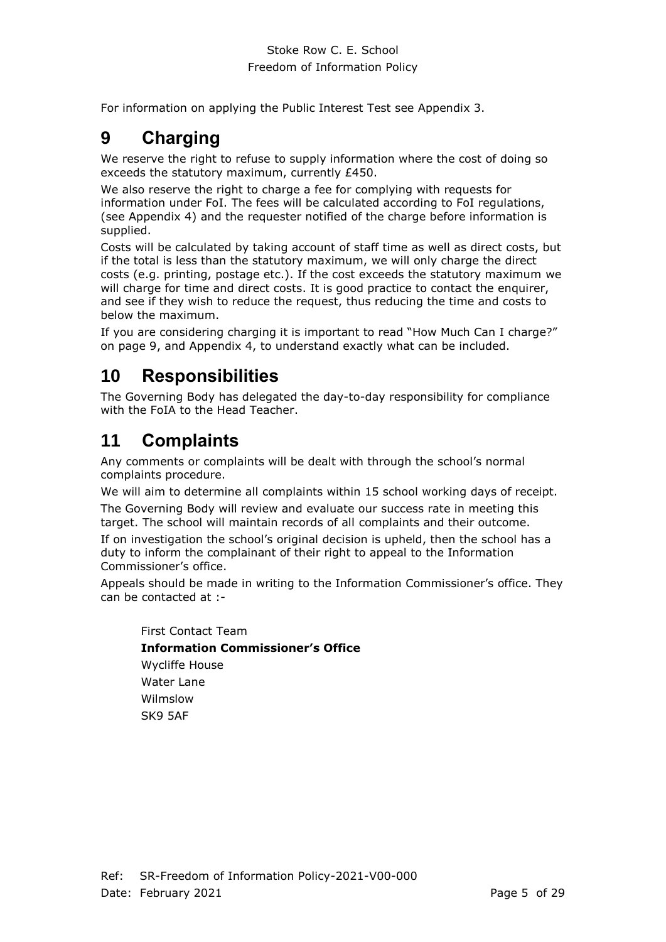For information on applying the Public Interest Test see Appendix 3.

# <span id="page-4-0"></span>**9 Charging**

We reserve the right to refuse to supply information where the cost of doing so exceeds the statutory maximum, currently £450.

We also reserve the right to charge a fee for complying with requests for information under FoI. The fees will be calculated according to FoI regulations, (see Appendix 4) and the requester notified of the charge before information is supplied.

Costs will be calculated by taking account of staff time as well as direct costs, but if the total is less than the statutory maximum, we will only charge the direct costs (e.g. printing, postage etc.). If the cost exceeds the statutory maximum we will charge for time and direct costs. It is good practice to contact the enquirer, and see if they wish to reduce the request, thus reducing the time and costs to below the maximum.

If you are considering charging it is important to read "How Much Can I charge?" on page [9,](#page-8-0) and Appendix 4, to understand exactly what can be included.

# <span id="page-4-1"></span>**10 Responsibilities**

The Governing Body has delegated the day-to-day responsibility for compliance with the FoIA to the Head Teacher.

# <span id="page-4-2"></span>**11 Complaints**

Any comments or complaints will be dealt with through the school's normal complaints procedure.

We will aim to determine all complaints within 15 school working days of receipt.

The Governing Body will review and evaluate our success rate in meeting this target. The school will maintain records of all complaints and their outcome.

If on investigation the school's original decision is upheld, then the school has a duty to inform the complainant of their right to appeal to the Information Commissioner's office.

Appeals should be made in writing to the Information Commissioner's office. They can be contacted at :-

First Contact Team **Information Commissioner's Office** Wycliffe House Water Lane Wilmslow SK9 5AF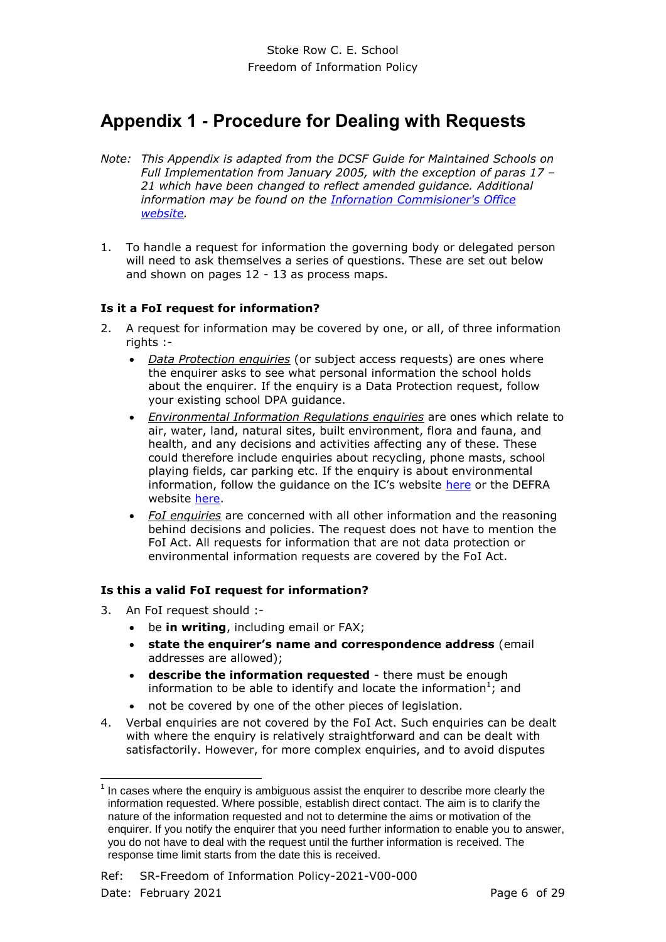# <span id="page-5-0"></span>**Appendix 1 - Procedure for Dealing with Requests**

- *Note: This Appendix is adapted from the DCSF Guide for Maintained Schools on Full Implementation from January 2005, with the exception of paras 17 – 21 which have been changed to reflect amended guidance. Additional information may be found on the [Infornation Commisioner's Office](http://www.ico.gov.uk/for_organisations/freedom_of_information/guide/receiving_a_request.aspx)  [website.](http://www.ico.gov.uk/for_organisations/freedom_of_information/guide/receiving_a_request.aspx)*
- 1. To handle a request for information the governing body or delegated person will need to ask themselves a series of questions. These are set out below and shown on pages 12 - 13 as process maps.

## **Is it a FoI request for information?**

- 2. A request for information may be covered by one, or all, of three information rights :-
	- *Data Protection enquiries* (or subject access requests) are ones where the enquirer asks to see what personal information the school holds about the enquirer. If the enquiry is a Data Protection request, follow your existing school DPA guidance.
	- *Environmental Information Regulations enquiries* are ones which relate to air, water, land, natural sites, built environment, flora and fauna, and health, and any decisions and activities affecting any of these. These could therefore include enquiries about recycling, phone masts, school playing fields, car parking etc. If the enquiry is about environmental information, follow the quidance on the IC's website [here](http://www.ico.gov.uk/for_organisations/environmental_information_guide.aspx) or the DEFRA website [here.](http://www.defra.gov.uk/corporate/about/how/opengov/)
	- *FoI enquiries* are concerned with all other information and the reasoning behind decisions and policies. The request does not have to mention the FoI Act. All requests for information that are not data protection or environmental information requests are covered by the FoI Act.

## **Is this a valid FoI request for information?**

3. An FoI request should :-

÷,

- be **in writing**, including email or FAX;
- **state the enquirer's name and correspondence address** (email addresses are allowed);
- **describe the information requested** there must be enough information to be able to identify and locate the information<sup>1</sup>; and
- not be covered by one of the other pieces of legislation.
- 4. Verbal enquiries are not covered by the FoI Act. Such enquiries can be dealt with where the enquiry is relatively straightforward and can be dealt with satisfactorily. However, for more complex enquiries, and to avoid disputes

 $1$  In cases where the enquiry is ambiguous assist the enquirer to describe more clearly the information requested. Where possible, establish direct contact. The aim is to clarify the nature of the information requested and not to determine the aims or motivation of the enquirer. If you notify the enquirer that you need further information to enable you to answer, you do not have to deal with the request until the further information is received. The response time limit starts from the date this is received.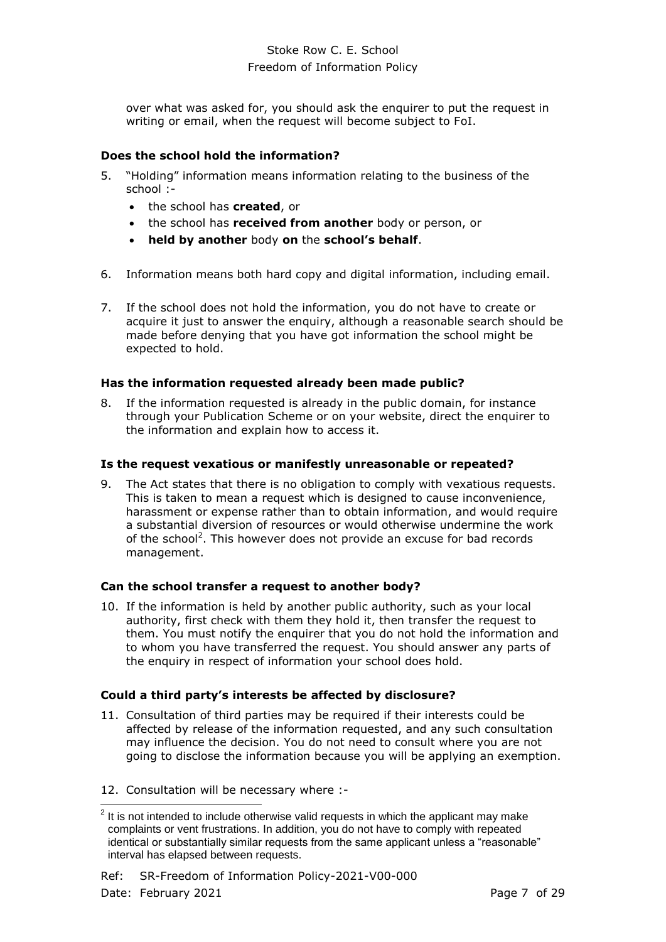over what was asked for, you should ask the enquirer to put the request in writing or email, when the request will become subject to FoI.

## **Does the school hold the information?**

- 5. "Holding" information means information relating to the business of the school :
	- the school has **created**, or
	- the school has **received from another** body or person, or
	- **held by another** body **on** the **school's behalf**.
- 6. Information means both hard copy and digital information, including email.
- 7. If the school does not hold the information, you do not have to create or acquire it just to answer the enquiry, although a reasonable search should be made before denying that you have got information the school might be expected to hold.

## **Has the information requested already been made public?**

8. If the information requested is already in the public domain, for instance through your Publication Scheme or on your website, direct the enquirer to the information and explain how to access it.

#### **Is the request vexatious or manifestly unreasonable or repeated?**

9. The Act states that there is no obligation to comply with vexatious requests. This is taken to mean a request which is designed to cause inconvenience, harassment or expense rather than to obtain information, and would require a substantial diversion of resources or would otherwise undermine the work of the school<sup>2</sup>. This however does not provide an excuse for bad records management.

## **Can the school transfer a request to another body?**

10. If the information is held by another public authority, such as your local authority, first check with them they hold it, then transfer the request to them. You must notify the enquirer that you do not hold the information and to whom you have transferred the request. You should answer any parts of the enquiry in respect of information your school does hold.

## **Could a third party's interests be affected by disclosure?**

11. Consultation of third parties may be required if their interests could be affected by release of the information requested, and any such consultation may influence the decision. You do not need to consult where you are not going to disclose the information because you will be applying an exemption.

Ref: SR-Freedom of Information Policy-2021-V00-000 Date: February 2021 **Page 7 of 29** 

<sup>12.</sup> Consultation will be necessary where :-

 2 It is not intended to include otherwise valid requests in which the applicant may make complaints or vent frustrations. In addition, you do not have to comply with repeated identical or substantially similar requests from the same applicant unless a "reasonable" interval has elapsed between requests.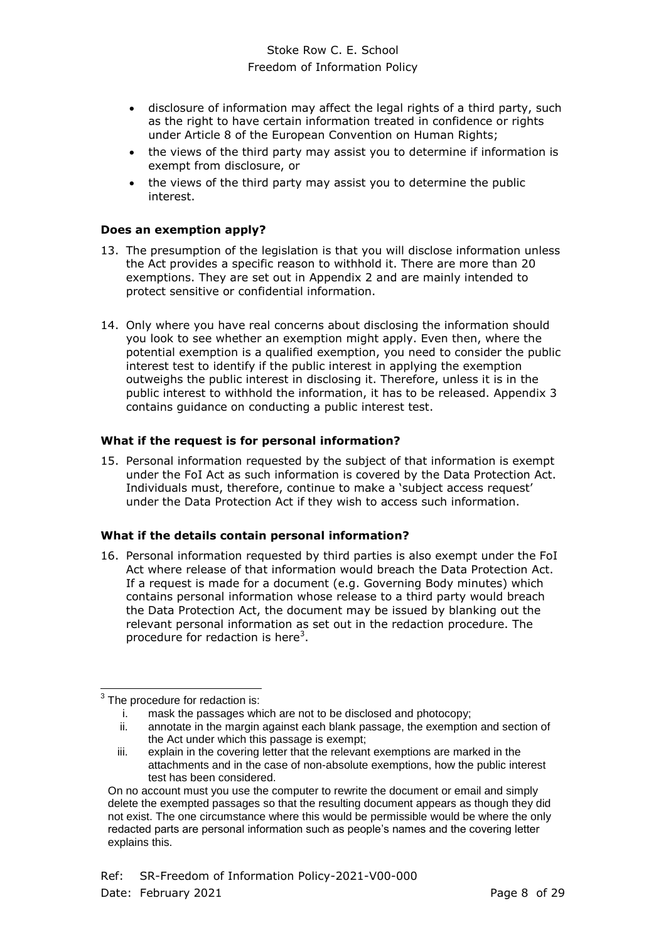- disclosure of information may affect the legal rights of a third party, such as the right to have certain information treated in confidence or rights under Article 8 of the European Convention on Human Rights;
- the views of the third party may assist you to determine if information is exempt from disclosure, or
- the views of the third party may assist you to determine the public interest.

#### **Does an exemption apply?**

- 13. The presumption of the legislation is that you will disclose information unless the Act provides a specific reason to withhold it. There are more than 20 exemptions. They are set out in Appendix 2 and are mainly intended to protect sensitive or confidential information.
- 14. Only where you have real concerns about disclosing the information should you look to see whether an exemption might apply. Even then, where the potential exemption is a qualified exemption, you need to consider the public interest test to identify if the public interest in applying the exemption outweighs the public interest in disclosing it. Therefore, unless it is in the public interest to withhold the information, it has to be released. Appendix 3 contains guidance on conducting a public interest test.

#### **What if the request is for personal information?**

15. Personal information requested by the subject of that information is exempt under the FoI Act as such information is covered by the Data Protection Act. Individuals must, therefore, continue to make a 'subject access request' under the Data Protection Act if they wish to access such information.

#### **What if the details contain personal information?**

16. Personal information requested by third parties is also exempt under the FoI Act where release of that information would breach the Data Protection Act. If a request is made for a document (e.g. Governing Body minutes) which contains personal information whose release to a third party would breach the Data Protection Act, the document may be issued by blanking out the relevant personal information as set out in the redaction procedure. The procedure for redaction is here<sup>3</sup>.

 3 The procedure for redaction is:

i. mask the passages which are not to be disclosed and photocopy;

ii. annotate in the margin against each blank passage, the exemption and section of the Act under which this passage is exempt;

iii. explain in the covering letter that the relevant exemptions are marked in the attachments and in the case of non-absolute exemptions, how the public interest test has been considered.

On no account must you use the computer to rewrite the document or email and simply delete the exempted passages so that the resulting document appears as though they did not exist. The one circumstance where this would be permissible would be where the only redacted parts are personal information such as people's names and the covering letter explains this.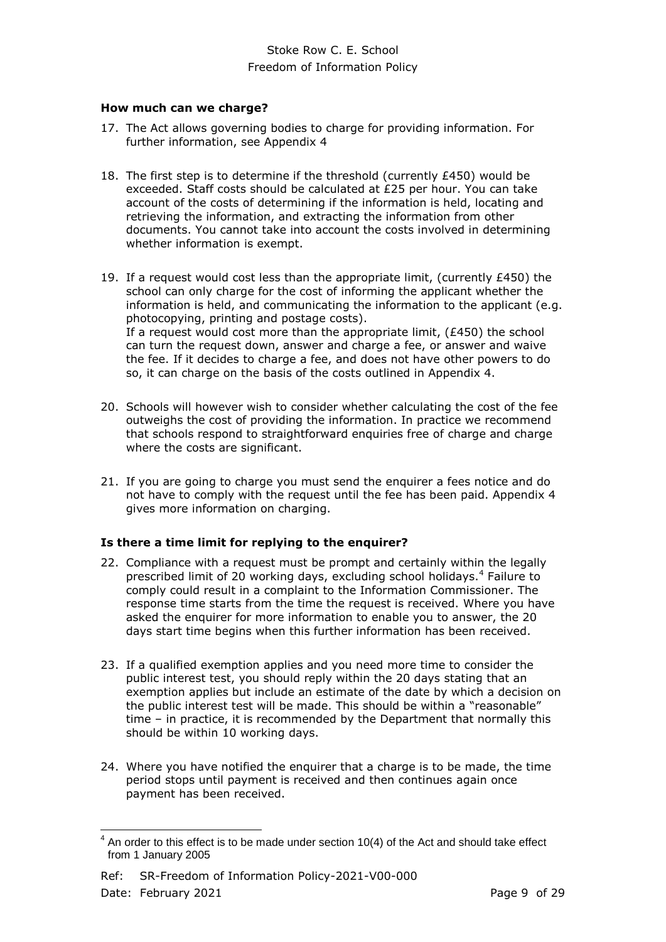#### **How much can we charge?**

- <span id="page-8-0"></span>17. The Act allows governing bodies to charge for providing information. For further information, see Appendix 4
- 18. The first step is to determine if the threshold (currently £450) would be exceeded. Staff costs should be calculated at £25 per hour. You can take account of the costs of determining if the information is held, locating and retrieving the information, and extracting the information from other documents. You cannot take into account the costs involved in determining whether information is exempt.
- 19. If a request would cost less than the appropriate limit, (currently £450) the school can only charge for the cost of informing the applicant whether the information is held, and communicating the information to the applicant (e.g. photocopying, printing and postage costs). If a request would cost more than the appropriate limit,  $(E450)$  the school can turn the request down, answer and charge a fee, or answer and waive the fee. If it decides to charge a fee, and does not have other powers to do so, it can charge on the basis of the costs outlined in Appendix 4.
- 20. Schools will however wish to consider whether calculating the cost of the fee outweighs the cost of providing the information. In practice we recommend that schools respond to straightforward enquiries free of charge and charge where the costs are significant.
- 21. If you are going to charge you must send the enquirer a fees notice and do not have to comply with the request until the fee has been paid. Appendix 4 gives more information on charging.

## **Is there a time limit for replying to the enquirer?**

- 22. Compliance with a request must be prompt and certainly within the legally prescribed limit of 20 working days, excluding school holidays.<sup>4</sup> Failure to comply could result in a complaint to the Information Commissioner. The response time starts from the time the request is received. Where you have asked the enquirer for more information to enable you to answer, the 20 days start time begins when this further information has been received.
- 23. If a qualified exemption applies and you need more time to consider the public interest test, you should reply within the 20 days stating that an exemption applies but include an estimate of the date by which a decision on the public interest test will be made. This should be within a "reasonable" time – in practice, it is recommended by the Department that normally this should be within 10 working days.
- 24. Where you have notified the enquirer that a charge is to be made, the time period stops until payment is received and then continues again once payment has been received.

 $\frac{4}{1}$ An order to this effect is to be made under section 10(4) of the Act and should take effect from 1 January 2005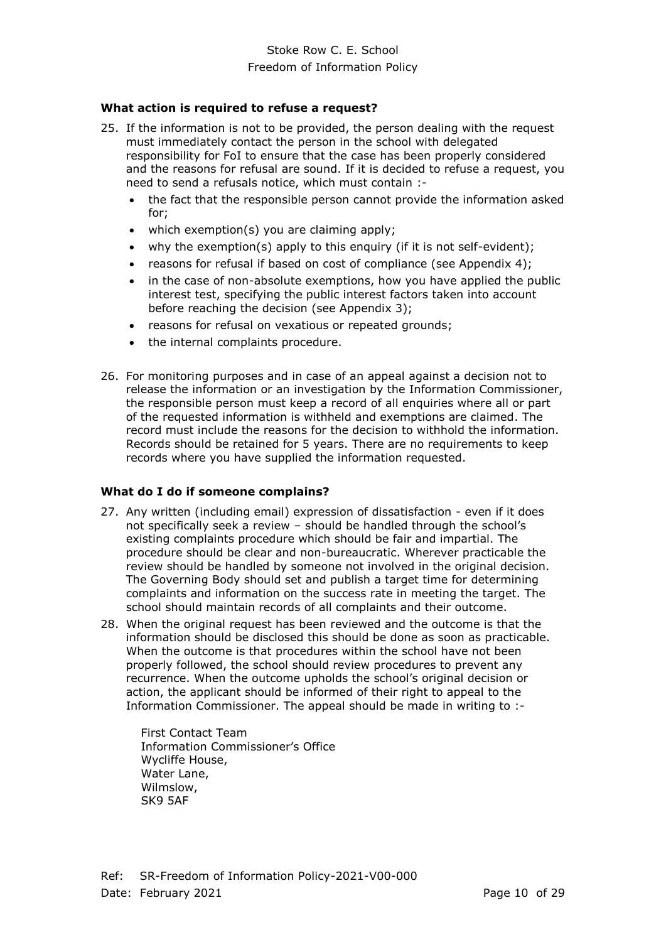#### **What action is required to refuse a request?**

- 25. If the information is not to be provided, the person dealing with the request must immediately contact the person in the school with delegated responsibility for FoI to ensure that the case has been properly considered and the reasons for refusal are sound. If it is decided to refuse a request, you need to send a refusals notice, which must contain :
	- the fact that the responsible person cannot provide the information asked for;
	- which exemption(s) you are claiming apply;
	- why the exemption(s) apply to this enquiry (if it is not self-evident);
	- reasons for refusal if based on cost of compliance (see Appendix 4);
	- in the case of non-absolute exemptions, how you have applied the public interest test, specifying the public interest factors taken into account before reaching the decision (see Appendix 3);
	- reasons for refusal on vexatious or repeated grounds;
	- the internal complaints procedure.
- 26. For monitoring purposes and in case of an appeal against a decision not to release the information or an investigation by the Information Commissioner, the responsible person must keep a record of all enquiries where all or part of the requested information is withheld and exemptions are claimed. The record must include the reasons for the decision to withhold the information. Records should be retained for 5 years. There are no requirements to keep records where you have supplied the information requested.

## **What do I do if someone complains?**

- 27. Any written (including email) expression of dissatisfaction even if it does not specifically seek a review – should be handled through the school's existing complaints procedure which should be fair and impartial. The procedure should be clear and non-bureaucratic. Wherever practicable the review should be handled by someone not involved in the original decision. The Governing Body should set and publish a target time for determining complaints and information on the success rate in meeting the target. The school should maintain records of all complaints and their outcome.
- 28. When the original request has been reviewed and the outcome is that the information should be disclosed this should be done as soon as practicable. When the outcome is that procedures within the school have not been properly followed, the school should review procedures to prevent any recurrence. When the outcome upholds the school's original decision or action, the applicant should be informed of their right to appeal to the Information Commissioner. The appeal should be made in writing to :-

First Contact Team Information Commissioner's Office Wycliffe House, Water Lane, Wilmslow, SK9 5AF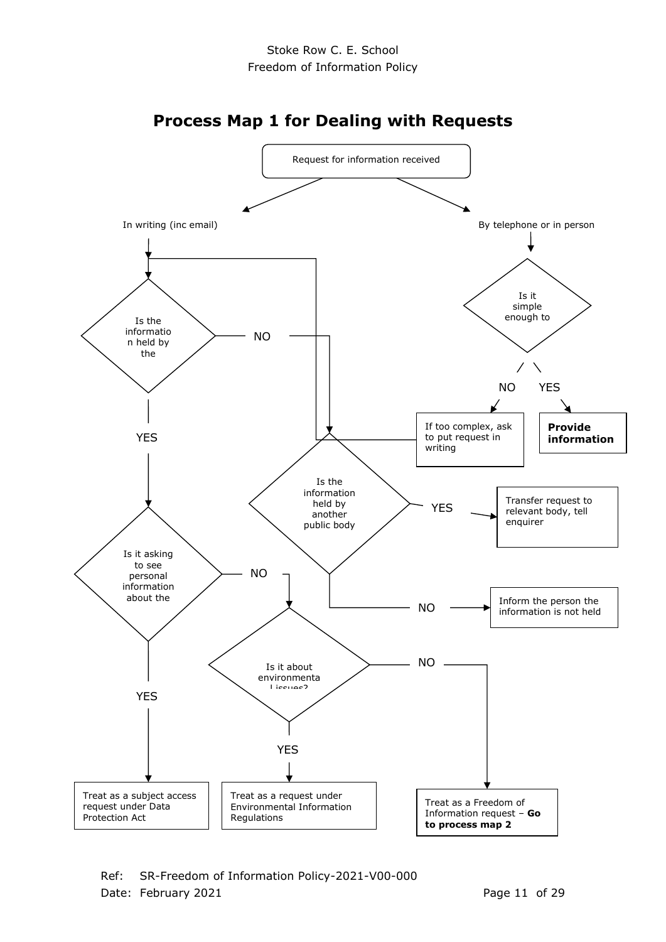

Ref: SR-Freedom of Information Policy-2021-V00-000 Date: February 2021 **Page 11 of 29**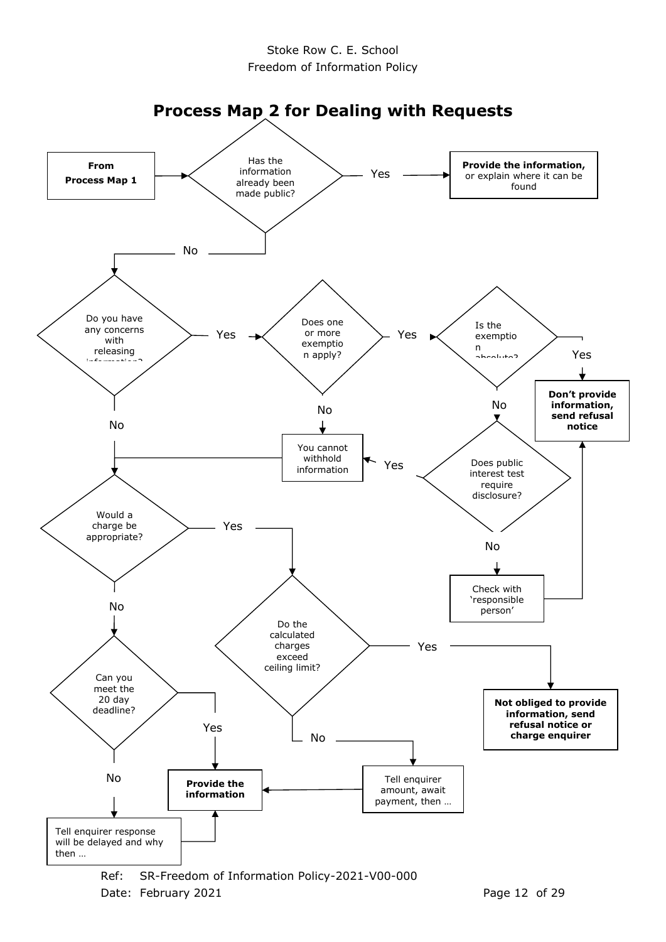

Date: February 2021 **Page 12 of 29**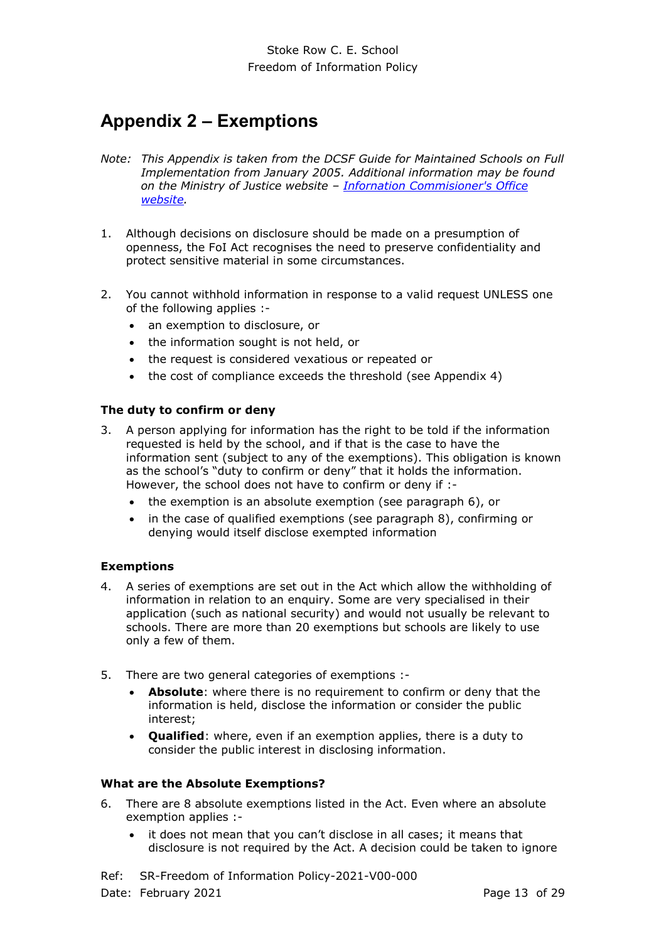# <span id="page-12-0"></span>**Appendix 2 – Exemptions**

- *Note: This Appendix is taken from the DCSF Guide for Maintained Schools on Full Implementation from January 2005. Additional information may be found on the Ministry of Justice website – [Infornation Commisioner's Office](http://www.ico.gov.uk/for_organisations/freedom_of_information/guide/refusing_a_request.aspx)  [website.](http://www.ico.gov.uk/for_organisations/freedom_of_information/guide/refusing_a_request.aspx)*
- 1. Although decisions on disclosure should be made on a presumption of openness, the FoI Act recognises the need to preserve confidentiality and protect sensitive material in some circumstances.
- 2. You cannot withhold information in response to a valid request UNLESS one of the following applies :-
	- an exemption to disclosure, or
	- the information sought is not held, or
	- the request is considered vexatious or repeated or
	- the cost of compliance exceeds the threshold (see Appendix 4)

#### **The duty to confirm or deny**

- 3. A person applying for information has the right to be told if the information requested is held by the school, and if that is the case to have the information sent (subject to any of the exemptions). This obligation is known as the school's "duty to confirm or deny" that it holds the information. However, the school does not have to confirm or deny if :
	- the exemption is an absolute exemption (see paragraph 6), or
	- in the case of qualified exemptions (see paragraph 8), confirming or denying would itself disclose exempted information

#### **Exemptions**

- 4. A series of exemptions are set out in the Act which allow the withholding of information in relation to an enquiry. Some are very specialised in their application (such as national security) and would not usually be relevant to schools. There are more than 20 exemptions but schools are likely to use only a few of them.
- 5. There are two general categories of exemptions :-
	- **Absolute**: where there is no requirement to confirm or deny that the information is held, disclose the information or consider the public interest;
	- **Qualified**: where, even if an exemption applies, there is a duty to consider the public interest in disclosing information.

#### **What are the Absolute Exemptions?**

- 6. There are 8 absolute exemptions listed in the Act. Even where an absolute exemption applies :
	- it does not mean that you can't disclose in all cases; it means that disclosure is not required by the Act. A decision could be taken to ignore

Ref: SR-Freedom of Information Policy-2021-V00-000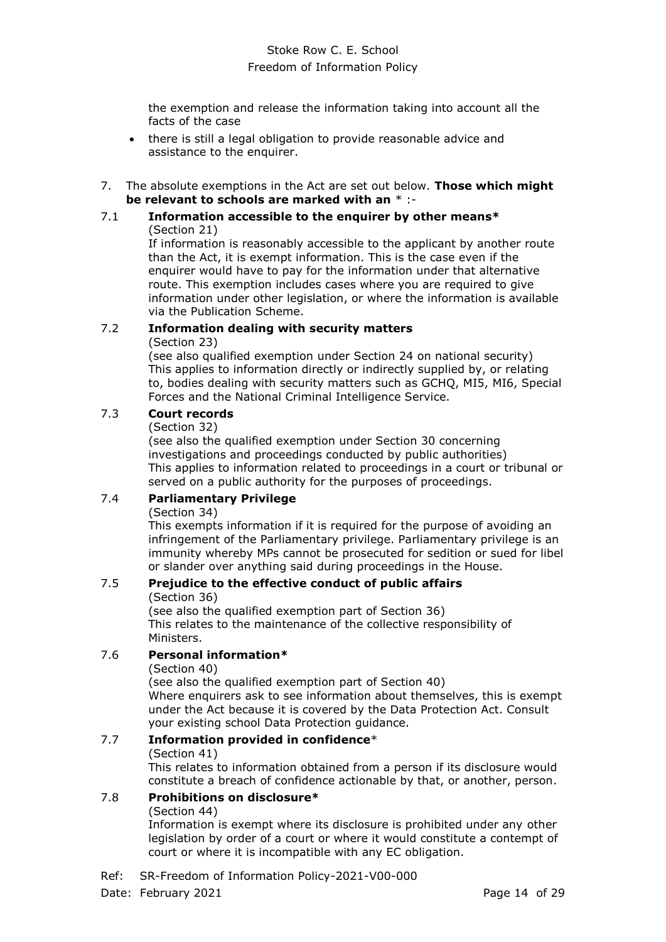the exemption and release the information taking into account all the facts of the case

- there is still a legal obligation to provide reasonable advice and assistance to the enquirer.
- 7. The absolute exemptions in the Act are set out below. **Those which might be relevant to schools are marked with an** \* :-

#### 7.1 **Information accessible to the enquirer by other means\*** (Section 21)

If information is reasonably accessible to the applicant by another route than the Act, it is exempt information. This is the case even if the enquirer would have to pay for the information under that alternative route. This exemption includes cases where you are required to give information under other legislation, or where the information is available via the Publication Scheme.

# 7.2 **Information dealing with security matters**

(Section 23)

(see also qualified exemption under Section 24 on national security) This applies to information directly or indirectly supplied by, or relating to, bodies dealing with security matters such as GCHQ, MI5, MI6, Special Forces and the National Criminal Intelligence Service.

# 7.3 **Court records**

(Section 32)

(see also the qualified exemption under Section 30 concerning investigations and proceedings conducted by public authorities) This applies to information related to proceedings in a court or tribunal or served on a public authority for the purposes of proceedings.

# 7.4 **Parliamentary Privilege**

## (Section 34)

This exempts information if it is required for the purpose of avoiding an infringement of the Parliamentary privilege. Parliamentary privilege is an immunity whereby MPs cannot be prosecuted for sedition or sued for libel or slander over anything said during proceedings in the House.

# 7.5 **Prejudice to the effective conduct of public affairs**

(Section 36)

(see also the qualified exemption part of Section 36) This relates to the maintenance of the collective responsibility of Ministers.

# 7.6 **Personal information\***

(Section 40)

(see also the qualified exemption part of Section 40) Where enquirers ask to see information about themselves, this is exempt under the Act because it is covered by the Data Protection Act. Consult your existing school Data Protection guidance.

#### 7.7 **Information provided in confidence**\* (Section 41)

This relates to information obtained from a person if its disclosure would constitute a breach of confidence actionable by that, or another, person.

# 7.8 **Prohibitions on disclosure\***

## (Section 44)

Information is exempt where its disclosure is prohibited under any other legislation by order of a court or where it would constitute a contempt of court or where it is incompatible with any EC obligation.

Ref: SR-Freedom of Information Policy-2021-V00-000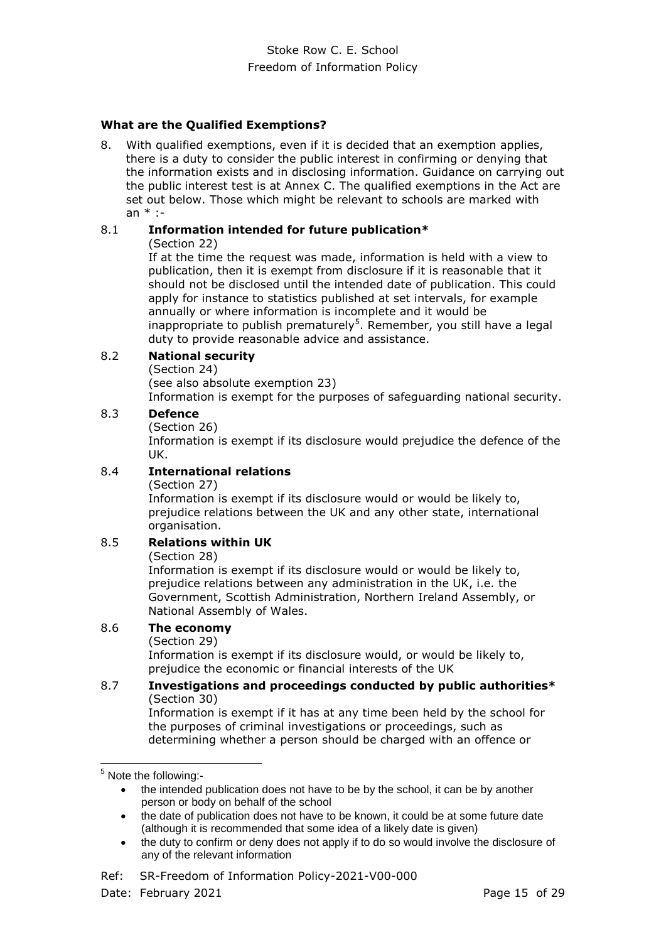## **What are the Qualified Exemptions?**

8. With qualified exemptions, even if it is decided that an exemption applies, there is a duty to consider the public interest in confirming or denying that the information exists and in disclosing information. Guidance on carrying out the public interest test is at Annex C. The qualified exemptions in the Act are set out below. Those which might be relevant to schools are marked with an \* :-

## 8.1 **Information intended for future publication\***

(Section 22)

If at the time the request was made, information is held with a view to publication, then it is exempt from disclosure if it is reasonable that it should not be disclosed until the intended date of publication. This could apply for instance to statistics published at set intervals, for example annually or where information is incomplete and it would be inappropriate to publish prematurely<sup>5</sup>. Remember, you still have a legal duty to provide reasonable advice and assistance.

## 8.2 **National security**

(Section 24)

(see also absolute exemption 23)

Information is exempt for the purposes of safeguarding national security.

## 8.3 **Defence**

(Section 26)

Information is exempt if its disclosure would prejudice the defence of the UK.

## 8.4 **International relations**

(Section 27)

Information is exempt if its disclosure would or would be likely to, prejudice relations between the UK and any other state, international organisation.

## 8.5 **Relations within UK**

#### (Section 28)

Information is exempt if its disclosure would or would be likely to, prejudice relations between any administration in the UK, i.e. the Government, Scottish Administration, Northern Ireland Assembly, or National Assembly of Wales.

## 8.6 **The economy**

(Section 29)

Information is exempt if its disclosure would, or would be likely to, prejudice the economic or financial interests of the UK

#### 8.7 **Investigations and proceedings conducted by public authorities\*** (Section 30)

Information is exempt if it has at any time been held by the school for the purposes of criminal investigations or proceedings, such as determining whether a person should be charged with an offence or

-

 the duty to confirm or deny does not apply if to do so would involve the disclosure of any of the relevant information

 $<sup>5</sup>$  Note the following:-</sup>

the intended publication does not have to be by the school, it can be by another person or body on behalf of the school

the date of publication does not have to be known, it could be at some future date (although it is recommended that some idea of a likely date is given)

Ref: SR-Freedom of Information Policy-2021-V00-000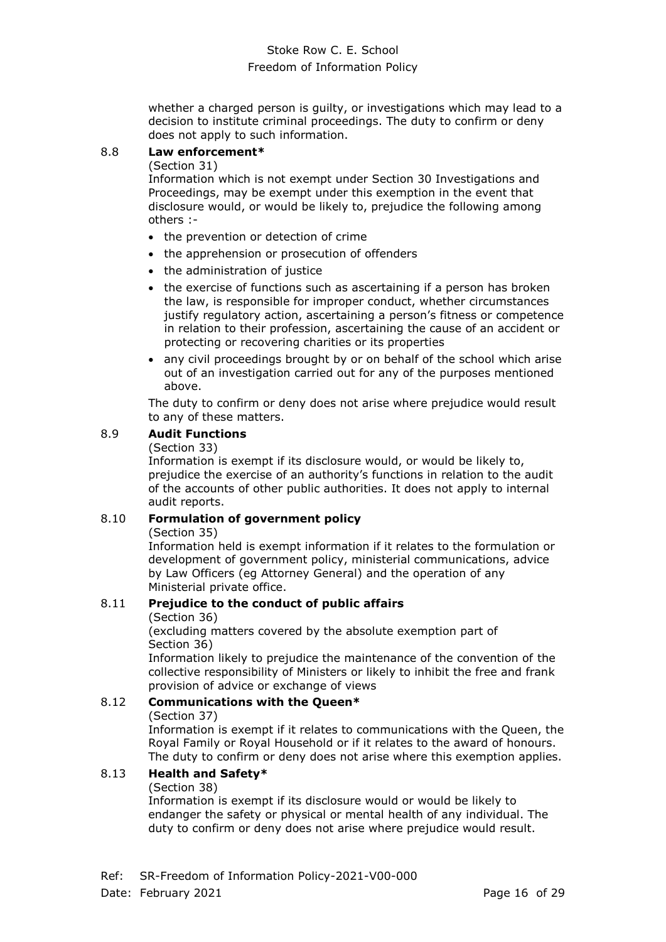whether a charged person is guilty, or investigations which may lead to a decision to institute criminal proceedings. The duty to confirm or deny does not apply to such information.

#### 8.8 **Law enforcement\***

(Section 31)

Information which is not exempt under Section 30 Investigations and Proceedings, may be exempt under this exemption in the event that disclosure would, or would be likely to, prejudice the following among others :-

- the prevention or detection of crime
- the apprehension or prosecution of offenders
- the administration of justice
- the exercise of functions such as ascertaining if a person has broken the law, is responsible for improper conduct, whether circumstances justify regulatory action, ascertaining a person's fitness or competence in relation to their profession, ascertaining the cause of an accident or protecting or recovering charities or its properties
- any civil proceedings brought by or on behalf of the school which arise out of an investigation carried out for any of the purposes mentioned above.

The duty to confirm or deny does not arise where prejudice would result to any of these matters.

## 8.9 **Audit Functions**

#### (Section 33)

Information is exempt if its disclosure would, or would be likely to, prejudice the exercise of an authority's functions in relation to the audit of the accounts of other public authorities. It does not apply to internal audit reports.

#### 8.10 **Formulation of government policy**

#### (Section 35)

Information held is exempt information if it relates to the formulation or development of government policy, ministerial communications, advice by Law Officers (eg Attorney General) and the operation of any Ministerial private office.

# 8.11 **Prejudice to the conduct of public affairs**

(Section 36)

(excluding matters covered by the absolute exemption part of Section 36)

Information likely to prejudice the maintenance of the convention of the collective responsibility of Ministers or likely to inhibit the free and frank provision of advice or exchange of views

## 8.12 **Communications with the Queen\***

#### (Section 37)

Information is exempt if it relates to communications with the Queen, the Royal Family or Royal Household or if it relates to the award of honours. The duty to confirm or deny does not arise where this exemption applies.

## 8.13 **Health and Safety\***

#### (Section 38)

Information is exempt if its disclosure would or would be likely to endanger the safety or physical or mental health of any individual. The duty to confirm or deny does not arise where prejudice would result.

Ref: SR-Freedom of Information Policy-2021-V00-000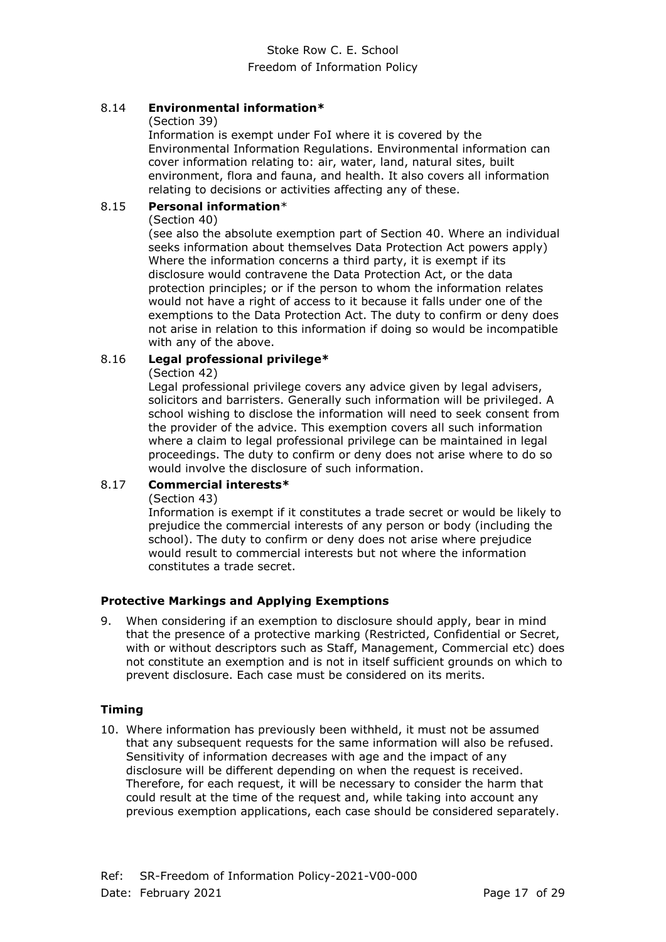## 8.14 **Environmental information\***

#### (Section 39)

Information is exempt under FoI where it is covered by the Environmental Information Regulations. Environmental information can cover information relating to: air, water, land, natural sites, built environment, flora and fauna, and health. It also covers all information relating to decisions or activities affecting any of these.

#### 8.15 **Personal information**\*

#### (Section 40)

(see also the absolute exemption part of Section 40. Where an individual seeks information about themselves Data Protection Act powers apply) Where the information concerns a third party, it is exempt if its disclosure would contravene the Data Protection Act, or the data protection principles; or if the person to whom the information relates would not have a right of access to it because it falls under one of the exemptions to the Data Protection Act. The duty to confirm or deny does not arise in relation to this information if doing so would be incompatible with any of the above.

#### 8.16 **Legal professional privilege\***

#### (Section 42)

Legal professional privilege covers any advice given by legal advisers, solicitors and barristers. Generally such information will be privileged. A school wishing to disclose the information will need to seek consent from the provider of the advice. This exemption covers all such information where a claim to legal professional privilege can be maintained in legal proceedings. The duty to confirm or deny does not arise where to do so would involve the disclosure of such information.

## 8.17 **Commercial interests\***

#### (Section 43)

Information is exempt if it constitutes a trade secret or would be likely to prejudice the commercial interests of any person or body (including the school). The duty to confirm or deny does not arise where prejudice would result to commercial interests but not where the information constitutes a trade secret.

#### **Protective Markings and Applying Exemptions**

9. When considering if an exemption to disclosure should apply, bear in mind that the presence of a protective marking (Restricted, Confidential or Secret, with or without descriptors such as Staff, Management, Commercial etc) does not constitute an exemption and is not in itself sufficient grounds on which to prevent disclosure. Each case must be considered on its merits.

#### **Timing**

10. Where information has previously been withheld, it must not be assumed that any subsequent requests for the same information will also be refused. Sensitivity of information decreases with age and the impact of any disclosure will be different depending on when the request is received. Therefore, for each request, it will be necessary to consider the harm that could result at the time of the request and, while taking into account any previous exemption applications, each case should be considered separately.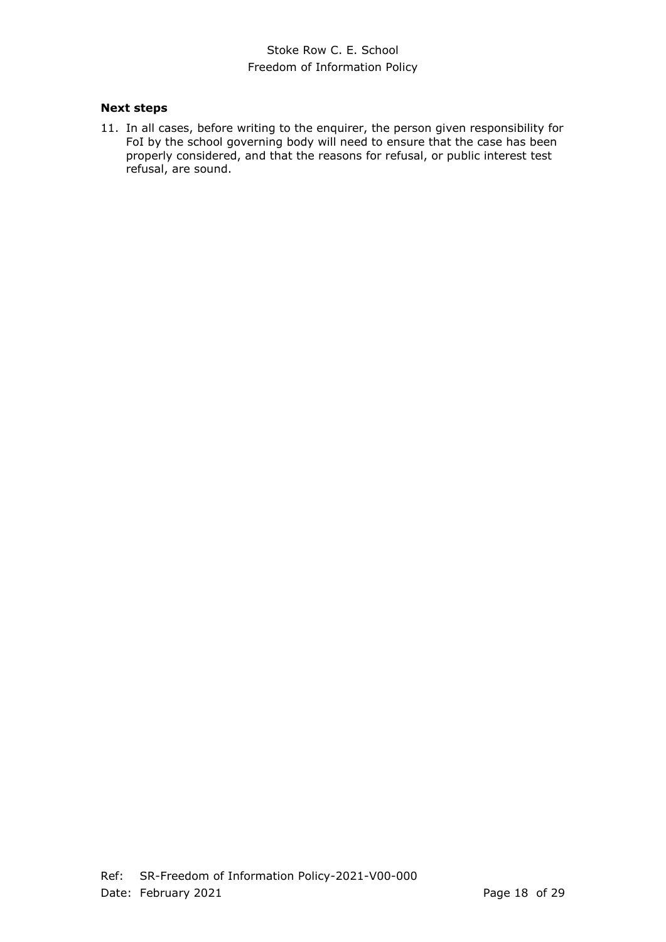## **Next steps**

11. In all cases, before writing to the enquirer, the person given responsibility for FoI by the school governing body will need to ensure that the case has been properly considered, and that the reasons for refusal, or public interest test refusal, are sound.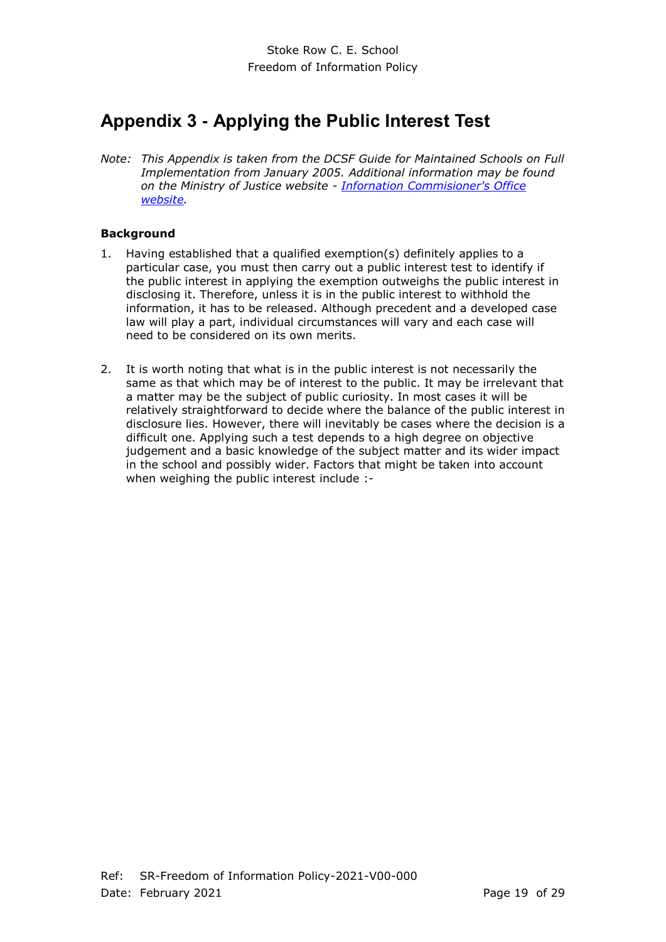# <span id="page-18-0"></span>**Appendix 3 - Applying the Public Interest Test**

*Note: This Appendix is taken from the DCSF Guide for Maintained Schools on Full Implementation from January 2005. Additional information may be found on the Ministry of Justice website - [Infornation Commisioner's Office](http://www.ico.gov.uk/for_organisations/freedom_of_information/guide/refusing_a_request.aspx) [website.](http://www.ico.gov.uk/for_organisations/freedom_of_information/guide/refusing_a_request.aspx)*

## **Background**

- 1. Having established that a qualified exemption(s) definitely applies to a particular case, you must then carry out a public interest test to identify if the public interest in applying the exemption outweighs the public interest in disclosing it. Therefore, unless it is in the public interest to withhold the information, it has to be released. Although precedent and a developed case law will play a part, individual circumstances will vary and each case will need to be considered on its own merits.
- 2. It is worth noting that what is in the public interest is not necessarily the same as that which may be of interest to the public. It may be irrelevant that a matter may be the subject of public curiosity. In most cases it will be relatively straightforward to decide where the balance of the public interest in disclosure lies. However, there will inevitably be cases where the decision is a difficult one. Applying such a test depends to a high degree on objective judgement and a basic knowledge of the subject matter and its wider impact in the school and possibly wider. Factors that might be taken into account when weighing the public interest include :-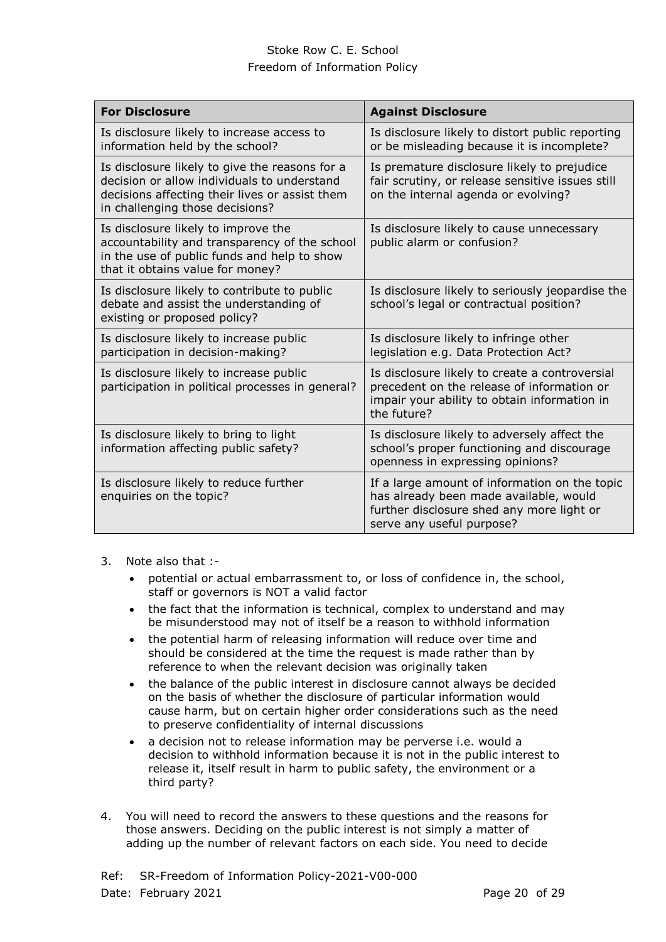| <b>For Disclosure</b>                                                                                                                                                              | <b>Against Disclosure</b>                                                                                                                                         |
|------------------------------------------------------------------------------------------------------------------------------------------------------------------------------------|-------------------------------------------------------------------------------------------------------------------------------------------------------------------|
| Is disclosure likely to increase access to<br>information held by the school?                                                                                                      | Is disclosure likely to distort public reporting<br>or be misleading because it is incomplete?                                                                    |
| Is disclosure likely to give the reasons for a<br>decision or allow individuals to understand<br>decisions affecting their lives or assist them<br>in challenging those decisions? | Is premature disclosure likely to prejudice<br>fair scrutiny, or release sensitive issues still<br>on the internal agenda or evolving?                            |
| Is disclosure likely to improve the<br>accountability and transparency of the school<br>in the use of public funds and help to show<br>that it obtains value for money?            | Is disclosure likely to cause unnecessary<br>public alarm or confusion?                                                                                           |
| Is disclosure likely to contribute to public<br>debate and assist the understanding of<br>existing or proposed policy?                                                             | Is disclosure likely to seriously jeopardise the<br>school's legal or contractual position?                                                                       |
| Is disclosure likely to increase public<br>participation in decision-making?                                                                                                       | Is disclosure likely to infringe other<br>legislation e.g. Data Protection Act?                                                                                   |
| Is disclosure likely to increase public<br>participation in political processes in general?                                                                                        | Is disclosure likely to create a controversial<br>precedent on the release of information or<br>impair your ability to obtain information in<br>the future?       |
| Is disclosure likely to bring to light<br>information affecting public safety?                                                                                                     | Is disclosure likely to adversely affect the<br>school's proper functioning and discourage<br>openness in expressing opinions?                                    |
| Is disclosure likely to reduce further<br>enquiries on the topic?                                                                                                                  | If a large amount of information on the topic<br>has already been made available, would<br>further disclosure shed any more light or<br>serve any useful purpose? |

- 3. Note also that :
	- potential or actual embarrassment to, or loss of confidence in, the school, staff or governors is NOT a valid factor
	- the fact that the information is technical, complex to understand and may be misunderstood may not of itself be a reason to withhold information
	- the potential harm of releasing information will reduce over time and should be considered at the time the request is made rather than by reference to when the relevant decision was originally taken
	- the balance of the public interest in disclosure cannot always be decided on the basis of whether the disclosure of particular information would cause harm, but on certain higher order considerations such as the need to preserve confidentiality of internal discussions
	- a decision not to release information may be perverse i.e. would a decision to withhold information because it is not in the public interest to release it, itself result in harm to public safety, the environment or a third party?
- 4. You will need to record the answers to these questions and the reasons for those answers. Deciding on the public interest is not simply a matter of adding up the number of relevant factors on each side. You need to decide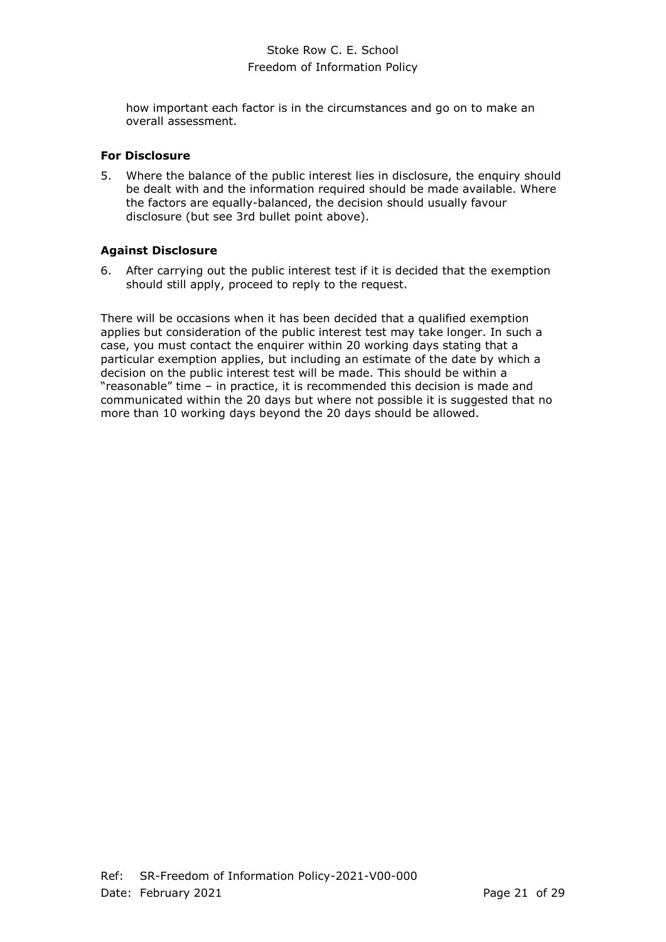how important each factor is in the circumstances and go on to make an overall assessment.

## **For Disclosure**

5. Where the balance of the public interest lies in disclosure, the enquiry should be dealt with and the information required should be made available. Where the factors are equally-balanced, the decision should usually favour disclosure (but see 3rd bullet point above).

## **Against Disclosure**

6. After carrying out the public interest test if it is decided that the exemption should still apply, proceed to reply to the request.

There will be occasions when it has been decided that a qualified exemption applies but consideration of the public interest test may take longer. In such a case, you must contact the enquirer within 20 working days stating that a particular exemption applies, but including an estimate of the date by which a decision on the public interest test will be made. This should be within a "reasonable" time – in practice, it is recommended this decision is made and communicated within the 20 days but where not possible it is suggested that no more than 10 working days beyond the 20 days should be allowed.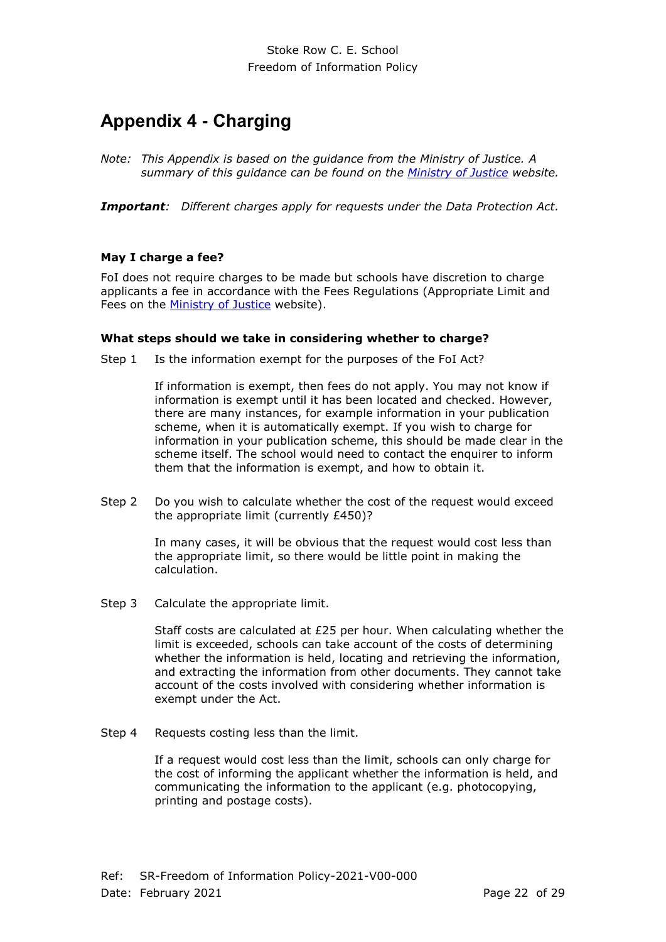# <span id="page-21-0"></span>**Appendix 4 - Charging**

*Note: This Appendix is based on the guidance from the Ministry of Justice. A summary of this guidance can be found on the [Ministry of Justice](http://www.justice.gov.uk/information-access-rights/foi-guidance-for-practitioners/fees) website.*

*Important: Different charges apply for requests under the Data Protection Act.*

#### **May I charge a fee?**

FoI does not require charges to be made but schools have discretion to charge applicants a fee in accordance with the Fees Regulations (Appropriate Limit and Fees on the **Ministry of Justice** website).

#### **What steps should we take in considering whether to charge?**

Step 1 Is the information exempt for the purposes of the FoI Act?

If information is exempt, then fees do not apply. You may not know if information is exempt until it has been located and checked. However, there are many instances, for example information in your publication scheme, when it is automatically exempt. If you wish to charge for information in your publication scheme, this should be made clear in the scheme itself. The school would need to contact the enquirer to inform them that the information is exempt, and how to obtain it.

Step 2 Do you wish to calculate whether the cost of the request would exceed the appropriate limit (currently £450)?

> In many cases, it will be obvious that the request would cost less than the appropriate limit, so there would be little point in making the calculation.

Step 3 Calculate the appropriate limit.

Staff costs are calculated at £25 per hour. When calculating whether the limit is exceeded, schools can take account of the costs of determining whether the information is held, locating and retrieving the information, and extracting the information from other documents. They cannot take account of the costs involved with considering whether information is exempt under the Act.

Step 4 Requests costing less than the limit.

If a request would cost less than the limit, schools can only charge for the cost of informing the applicant whether the information is held, and communicating the information to the applicant (e.g. photocopying, printing and postage costs).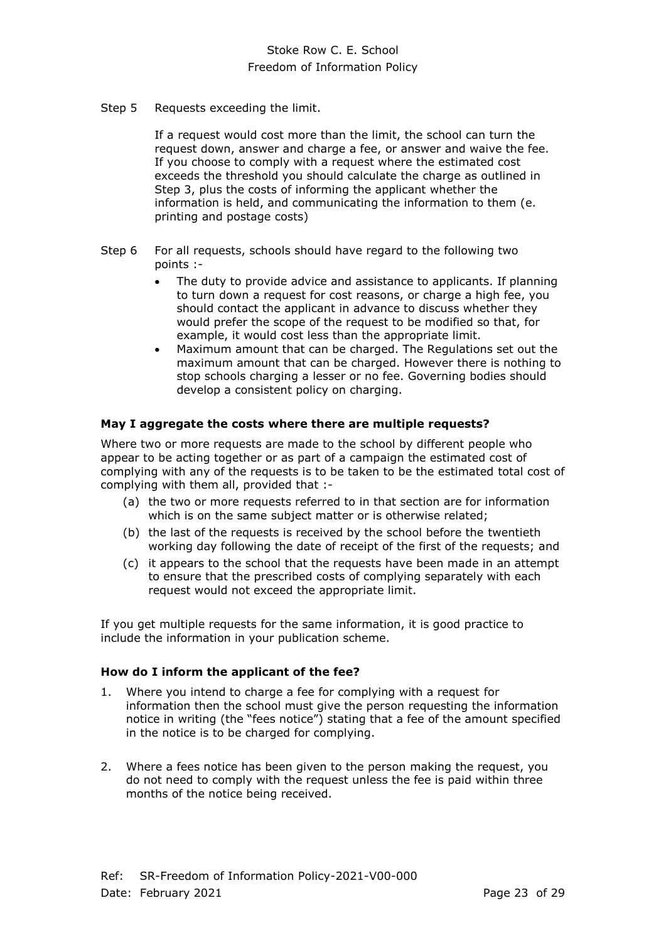Step 5 Requests exceeding the limit.

If a request would cost more than the limit, the school can turn the request down, answer and charge a fee, or answer and waive the fee. If you choose to comply with a request where the estimated cost exceeds the threshold you should calculate the charge as outlined in Step 3, plus the costs of informing the applicant whether the information is held, and communicating the information to them (e. printing and postage costs)

- Step 6 For all requests, schools should have regard to the following two points :-
	- The duty to provide advice and assistance to applicants. If planning to turn down a request for cost reasons, or charge a high fee, you should contact the applicant in advance to discuss whether they would prefer the scope of the request to be modified so that, for example, it would cost less than the appropriate limit.
	- Maximum amount that can be charged. The Regulations set out the maximum amount that can be charged. However there is nothing to stop schools charging a lesser or no fee. Governing bodies should develop a consistent policy on charging.

#### **May I aggregate the costs where there are multiple requests?**

Where two or more requests are made to the school by different people who appear to be acting together or as part of a campaign the estimated cost of complying with any of the requests is to be taken to be the estimated total cost of complying with them all, provided that :-

- (a) the two or more requests referred to in that section are for information which is on the same subject matter or is otherwise related;
- (b) the last of the requests is received by the school before the twentieth working day following the date of receipt of the first of the requests; and
- (c) it appears to the school that the requests have been made in an attempt to ensure that the prescribed costs of complying separately with each request would not exceed the appropriate limit.

If you get multiple requests for the same information, it is good practice to include the information in your publication scheme.

#### **How do I inform the applicant of the fee?**

- 1. Where you intend to charge a fee for complying with a request for information then the school must give the person requesting the information notice in writing (the "fees notice") stating that a fee of the amount specified in the notice is to be charged for complying.
- 2. Where a fees notice has been given to the person making the request, you do not need to comply with the request unless the fee is paid within three months of the notice being received.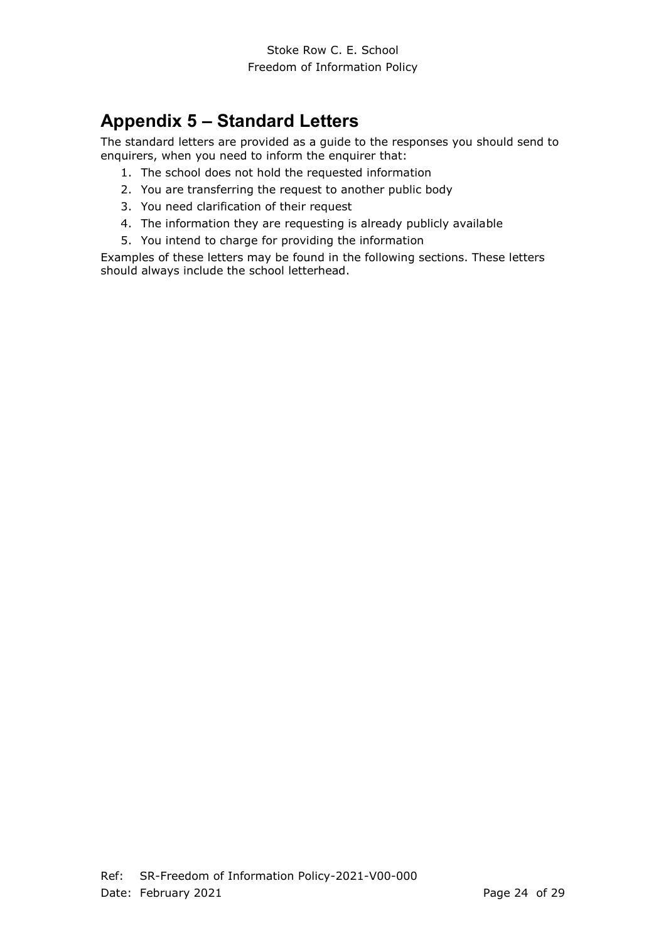# <span id="page-23-0"></span>**Appendix 5 – Standard Letters**

The standard letters are provided as a guide to the responses you should send to enquirers, when you need to inform the enquirer that:

- 1. The school does not hold the requested information
- 2. You are transferring the request to another public body
- 3. You need clarification of their request
- 4. The information they are requesting is already publicly available
- 5. You intend to charge for providing the information

Examples of these letters may be found in the following sections. These letters should always include the school letterhead.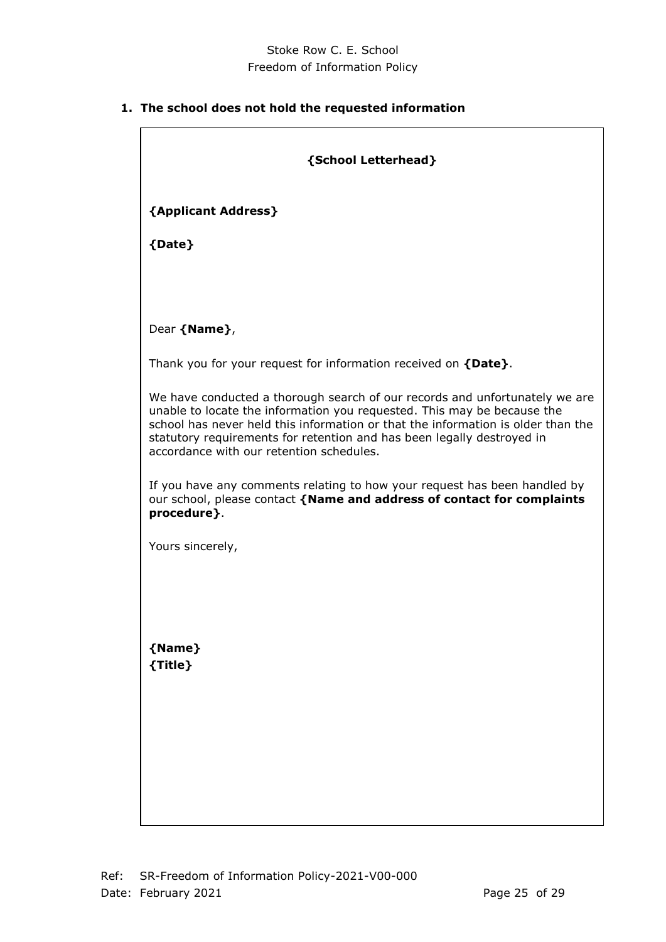# **1. The school does not hold the requested information**

| {School Letterhead}                                                                                                                                                                                                                                                                                                                                              |
|------------------------------------------------------------------------------------------------------------------------------------------------------------------------------------------------------------------------------------------------------------------------------------------------------------------------------------------------------------------|
| {Applicant Address}                                                                                                                                                                                                                                                                                                                                              |
| {Date}                                                                                                                                                                                                                                                                                                                                                           |
|                                                                                                                                                                                                                                                                                                                                                                  |
| Dear {Name},                                                                                                                                                                                                                                                                                                                                                     |
| Thank you for your request for information received on {Date}.                                                                                                                                                                                                                                                                                                   |
| We have conducted a thorough search of our records and unfortunately we are<br>unable to locate the information you requested. This may be because the<br>school has never held this information or that the information is older than the<br>statutory requirements for retention and has been legally destroyed in<br>accordance with our retention schedules. |
| If you have any comments relating to how your request has been handled by<br>our school, please contact {Name and address of contact for complaints<br>procedure}.                                                                                                                                                                                               |
| Yours sincerely,                                                                                                                                                                                                                                                                                                                                                 |
|                                                                                                                                                                                                                                                                                                                                                                  |
| {Name}<br>{Title}                                                                                                                                                                                                                                                                                                                                                |
|                                                                                                                                                                                                                                                                                                                                                                  |
|                                                                                                                                                                                                                                                                                                                                                                  |
|                                                                                                                                                                                                                                                                                                                                                                  |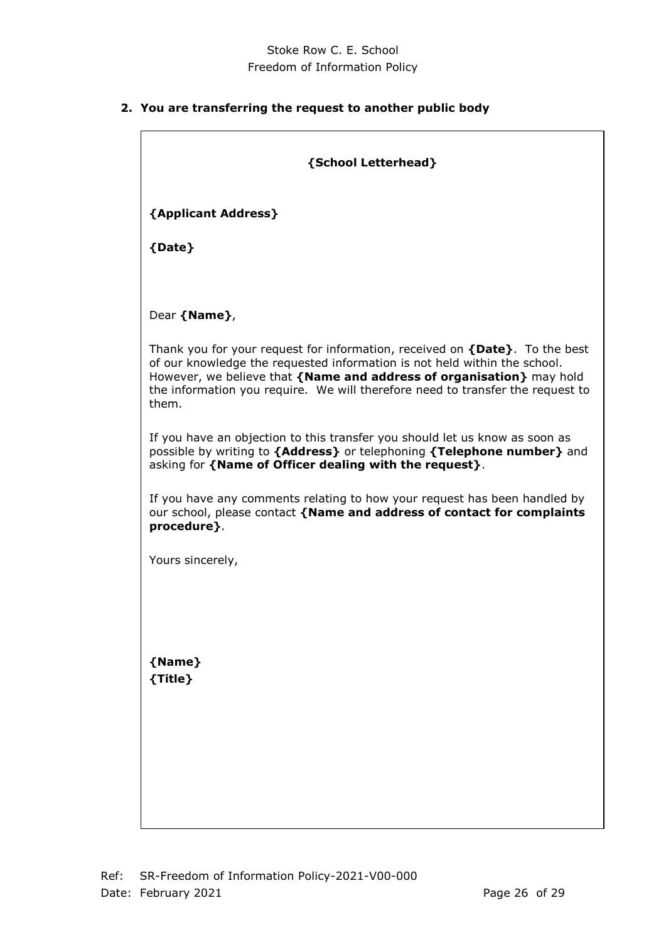**2. You are transferring the request to another public body**

| {School Letterhead}                                                                                                                                                                                                                                                                                                              |
|----------------------------------------------------------------------------------------------------------------------------------------------------------------------------------------------------------------------------------------------------------------------------------------------------------------------------------|
| {Applicant Address}                                                                                                                                                                                                                                                                                                              |
| {Date}                                                                                                                                                                                                                                                                                                                           |
|                                                                                                                                                                                                                                                                                                                                  |
| Dear {Name},                                                                                                                                                                                                                                                                                                                     |
| Thank you for your request for information, received on $\{Date\}$ . To the best<br>of our knowledge the requested information is not held within the school.<br>However, we believe that {Name and address of organisation} may hold<br>the information you require. We will therefore need to transfer the request to<br>them. |
| If you have an objection to this transfer you should let us know as soon as<br>possible by writing to {Address} or telephoning {Telephone number} and<br>asking for {Name of Officer dealing with the request}.                                                                                                                  |
| If you have any comments relating to how your request has been handled by<br>our school, please contact {Name and address of contact for complaints<br>procedure }.                                                                                                                                                              |
| Yours sincerely,                                                                                                                                                                                                                                                                                                                 |
|                                                                                                                                                                                                                                                                                                                                  |
|                                                                                                                                                                                                                                                                                                                                  |
| {Name}<br>{Title}                                                                                                                                                                                                                                                                                                                |
|                                                                                                                                                                                                                                                                                                                                  |
|                                                                                                                                                                                                                                                                                                                                  |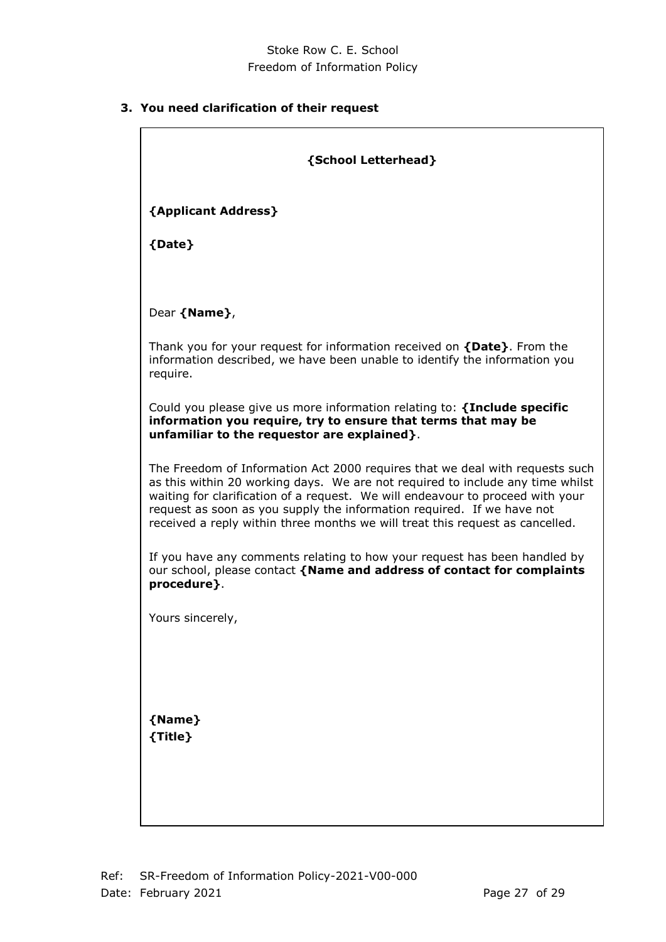# **3. You need clarification of their request**

| {School Letterhead}                                                                                                                                                                                                                                                                                                                                                                                         |
|-------------------------------------------------------------------------------------------------------------------------------------------------------------------------------------------------------------------------------------------------------------------------------------------------------------------------------------------------------------------------------------------------------------|
| {Applicant Address}                                                                                                                                                                                                                                                                                                                                                                                         |
| {Date}                                                                                                                                                                                                                                                                                                                                                                                                      |
|                                                                                                                                                                                                                                                                                                                                                                                                             |
| Dear {Name},                                                                                                                                                                                                                                                                                                                                                                                                |
| Thank you for your request for information received on {Date}. From the<br>information described, we have been unable to identify the information you<br>require.                                                                                                                                                                                                                                           |
| Could you please give us more information relating to: {Include specific<br>information you require, try to ensure that terms that may be<br>unfamiliar to the requestor are explained}.                                                                                                                                                                                                                    |
| The Freedom of Information Act 2000 requires that we deal with requests such<br>as this within 20 working days. We are not required to include any time whilst<br>waiting for clarification of a request. We will endeavour to proceed with your<br>request as soon as you supply the information required. If we have not<br>received a reply within three months we will treat this request as cancelled. |
| If you have any comments relating to how your request has been handled by<br>our school, please contact {Name and address of contact for complaints<br>procedure}.                                                                                                                                                                                                                                          |
| Yours sincerely,                                                                                                                                                                                                                                                                                                                                                                                            |
| {Name}<br>${$                                                                                                                                                                                                                                                                                                                                                                                               |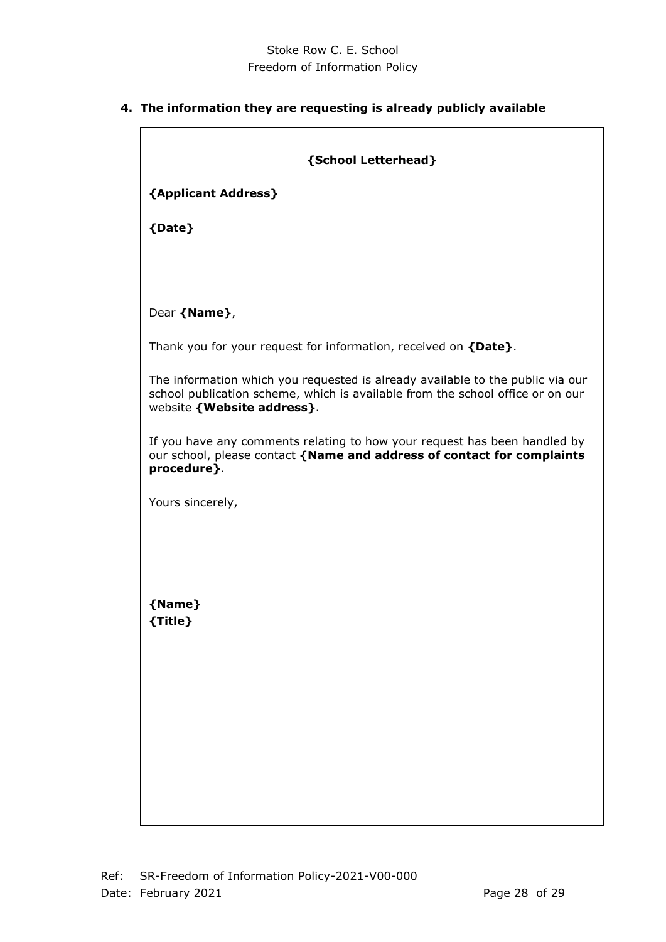# **4. The information they are requesting is already publicly available**

| {School Letterhead}                                                                                                                                                                              |
|--------------------------------------------------------------------------------------------------------------------------------------------------------------------------------------------------|
| {Applicant Address}                                                                                                                                                                              |
| {Date}                                                                                                                                                                                           |
|                                                                                                                                                                                                  |
|                                                                                                                                                                                                  |
| Dear {Name},                                                                                                                                                                                     |
| Thank you for your request for information, received on {Date}.                                                                                                                                  |
| The information which you requested is already available to the public via our<br>school publication scheme, which is available from the school office or on our<br>website { Website address }. |
| If you have any comments relating to how your request has been handled by<br>our school, please contact {Name and address of contact for complaints<br>procedure}.                               |
| Yours sincerely,                                                                                                                                                                                 |
|                                                                                                                                                                                                  |
|                                                                                                                                                                                                  |
| {Name}<br>{Title}                                                                                                                                                                                |
|                                                                                                                                                                                                  |
|                                                                                                                                                                                                  |
|                                                                                                                                                                                                  |
|                                                                                                                                                                                                  |
|                                                                                                                                                                                                  |
|                                                                                                                                                                                                  |